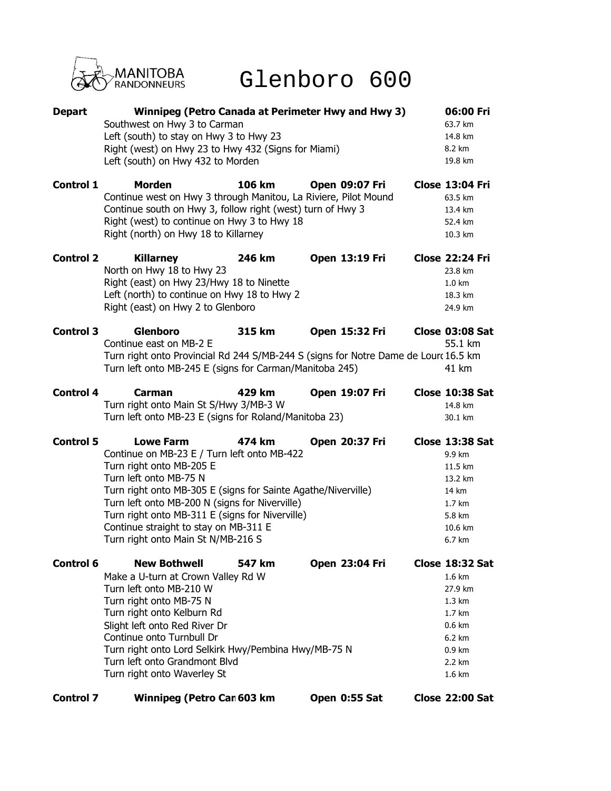

## Glenboro 600

| <b>Depart</b>    | <b>Winnipeg (Petro Canada at Perimeter Hwy and Hwy 3)</b><br>Southwest on Hwy 3 to Carman<br>Left (south) to stay on Hwy 3 to Hwy 23<br>Right (west) on Hwy 23 to Hwy 432 (Signs for Miami)<br>Left (south) on Hwy 432 to Morden                                                                                                                                           |        |                       |  | 06:00 Fri<br>63.7 km<br>14.8 km<br>8.2 km<br>19.8 km                                                                                                         |
|------------------|----------------------------------------------------------------------------------------------------------------------------------------------------------------------------------------------------------------------------------------------------------------------------------------------------------------------------------------------------------------------------|--------|-----------------------|--|--------------------------------------------------------------------------------------------------------------------------------------------------------------|
| <b>Control 1</b> | <b>Morden</b><br>Continue west on Hwy 3 through Manitou, La Riviere, Pilot Mound<br>Continue south on Hwy 3, follow right (west) turn of Hwy 3<br>Right (west) to continue on Hwy 3 to Hwy 18<br>Right (north) on Hwy 18 to Killarney                                                                                                                                      | 106 km | <b>Open 09:07 Fri</b> |  | <b>Close 13:04 Fri</b><br>63.5 km<br>13.4 km<br>52.4 km<br>10.3 km                                                                                           |
| <b>Control 2</b> | <b>Killarney</b><br>North on Hwy 18 to Hwy 23<br>Right (east) on Hwy 23/Hwy 18 to Ninette<br>Left (north) to continue on Hwy 18 to Hwy 2<br>Right (east) on Hwy 2 to Glenboro                                                                                                                                                                                              | 246 km | Open 13:19 Fri        |  | <b>Close 22:24 Fri</b><br>23.8 km<br>$1.0 \text{ km}$<br>18.3 km<br>24.9 km                                                                                  |
| <b>Control 3</b> | <b>Glenboro</b><br>Continue east on MB-2 E<br>Turn right onto Provincial Rd 244 S/MB-244 S (signs for Notre Dame de Lourc 16.5 km<br>Turn left onto MB-245 E (signs for Carman/Manitoba 245)                                                                                                                                                                               | 315 km | <b>Open 15:32 Fri</b> |  | Close 03:08 Sat<br>55.1 km<br>41 km                                                                                                                          |
| <b>Control 4</b> | <b>Carman</b><br>Turn right onto Main St S/Hwy 3/MB-3 W<br>Turn left onto MB-23 E (signs for Roland/Manitoba 23)                                                                                                                                                                                                                                                           | 429 km | Open 19:07 Fri        |  | Close 10:38 Sat<br>14.8 km<br>30.1 km                                                                                                                        |
| <b>Control 5</b> | <b>Lowe Farm</b><br>Continue on MB-23 E / Turn left onto MB-422<br>Turn right onto MB-205 E<br>Turn left onto MB-75 N<br>Turn right onto MB-305 E (signs for Sainte Agathe/Niverville)<br>Turn left onto MB-200 N (signs for Niverville)<br>Turn right onto MB-311 E (signs for Niverville)<br>Continue straight to stay on MB-311 E<br>Turn right onto Main St N/MB-216 S | 474 km | Open 20:37 Fri        |  | Close 13:38 Sat<br>9.9 km<br>11.5 km<br>13.2 km<br>14 km<br>$1.7 \text{ km}$<br>5.8 km<br>10.6 km<br>6.7 km                                                  |
| Control 6        | <b>New Bothwell</b><br>Make a U-turn at Crown Valley Rd W<br>Turn left onto MB-210 W<br>Turn right onto MB-75 N<br>Turn right onto Kelburn Rd<br>Slight left onto Red River Dr<br>Continue onto Turnbull Dr<br>Turn right onto Lord Selkirk Hwy/Pembina Hwy/MB-75 N<br>Turn left onto Grandmont Blvd<br>Turn right onto Waverley St                                        | 547 km | <b>Open 23:04 Fri</b> |  | Close 18:32 Sat<br>$1.6 \text{ km}$<br>27.9 km<br>$1.3 \text{ km}$<br>$1.7 \text{ km}$<br>$0.6 \text{ km}$<br>6.2 km<br>$0.9 \text{ km}$<br>2.2 km<br>1.6 km |

**Control 7 Winnipeg (Petro Can 603 km Open 0:55 Sat Close 22:00 Sat**